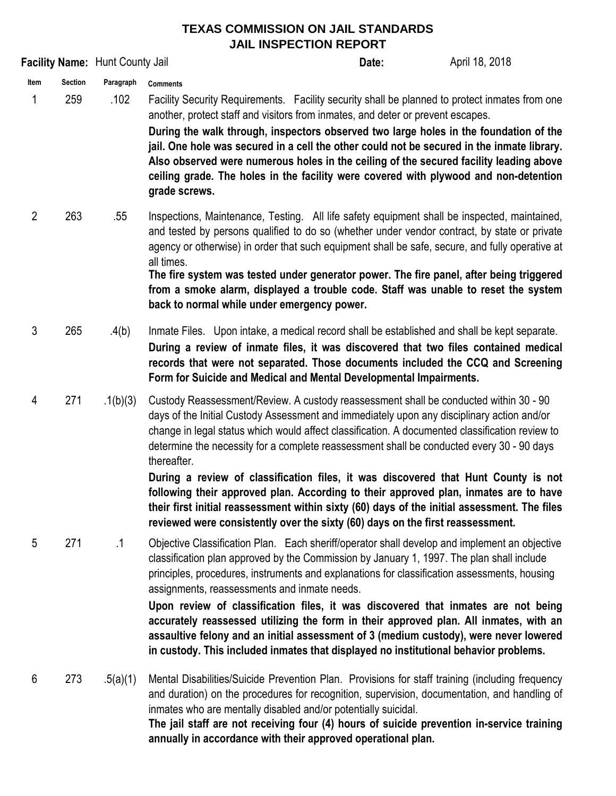| Facility Name: Hunt County Jail |                       |                   |                                                                                                                                                                                                                                                                                                                                                                                                                                                                                                                                                                                                                                                                                                                                                                    | Date: | April 18, 2018 |
|---------------------------------|-----------------------|-------------------|--------------------------------------------------------------------------------------------------------------------------------------------------------------------------------------------------------------------------------------------------------------------------------------------------------------------------------------------------------------------------------------------------------------------------------------------------------------------------------------------------------------------------------------------------------------------------------------------------------------------------------------------------------------------------------------------------------------------------------------------------------------------|-------|----------------|
| Item<br>1                       | <b>Section</b><br>259 | Paragraph<br>.102 | <b>Comments</b><br>Facility Security Requirements. Facility security shall be planned to protect inmates from one<br>another, protect staff and visitors from inmates, and deter or prevent escapes.<br>During the walk through, inspectors observed two large holes in the foundation of the<br>jail. One hole was secured in a cell the other could not be secured in the inmate library.<br>Also observed were numerous holes in the ceiling of the secured facility leading above<br>ceiling grade. The holes in the facility were covered with plywood and non-detention<br>grade screws.                                                                                                                                                                     |       |                |
| $\overline{2}$                  | 263                   | .55               | Inspections, Maintenance, Testing. All life safety equipment shall be inspected, maintained,<br>and tested by persons qualified to do so (whether under vendor contract, by state or private<br>agency or otherwise) in order that such equipment shall be safe, secure, and fully operative at<br>all times.<br>The fire system was tested under generator power. The fire panel, after being triggered<br>from a smoke alarm, displayed a trouble code. Staff was unable to reset the system<br>back to normal while under emergency power.                                                                                                                                                                                                                      |       |                |
| 3                               | 265                   | .4(b)             | Inmate Files. Upon intake, a medical record shall be established and shall be kept separate.<br>During a review of inmate files, it was discovered that two files contained medical<br>records that were not separated. Those documents included the CCQ and Screening<br>Form for Suicide and Medical and Mental Developmental Impairments.                                                                                                                                                                                                                                                                                                                                                                                                                       |       |                |
| 4                               | 271                   | .1(b)(3)          | Custody Reassessment/Review. A custody reassessment shall be conducted within 30 - 90<br>days of the Initial Custody Assessment and immediately upon any disciplinary action and/or<br>change in legal status which would affect classification. A documented classification review to<br>determine the necessity for a complete reassessment shall be conducted every 30 - 90 days<br>thereafter.<br>During a review of classification files, it was discovered that Hunt County is not<br>following their approved plan. According to their approved plan, inmates are to have<br>their first initial reassessment within sixty (60) days of the initial assessment. The files<br>reviewed were consistently over the sixty (60) days on the first reassessment. |       |                |
| 5                               | 271                   | .1                | Objective Classification Plan. Each sheriff/operator shall develop and implement an objective<br>classification plan approved by the Commission by January 1, 1997. The plan shall include<br>principles, procedures, instruments and explanations for classification assessments, housing<br>assignments, reassessments and inmate needs.<br>Upon review of classification files, it was discovered that inmates are not being<br>accurately reassessed utilizing the form in their approved plan. All inmates, with an<br>assaultive felony and an initial assessment of 3 (medium custody), were never lowered<br>in custody. This included inmates that displayed no institutional behavior problems.                                                          |       |                |
| $6\phantom{1}6$                 | 273                   | .5(a)(1)          | Mental Disabilities/Suicide Prevention Plan. Provisions for staff training (including frequency<br>and duration) on the procedures for recognition, supervision, documentation, and handling of<br>inmates who are mentally disabled and/or potentially suicidal.<br>The jail staff are not receiving four (4) hours of suicide prevention in-service training<br>annually in accordance with their approved operational plan.                                                                                                                                                                                                                                                                                                                                     |       |                |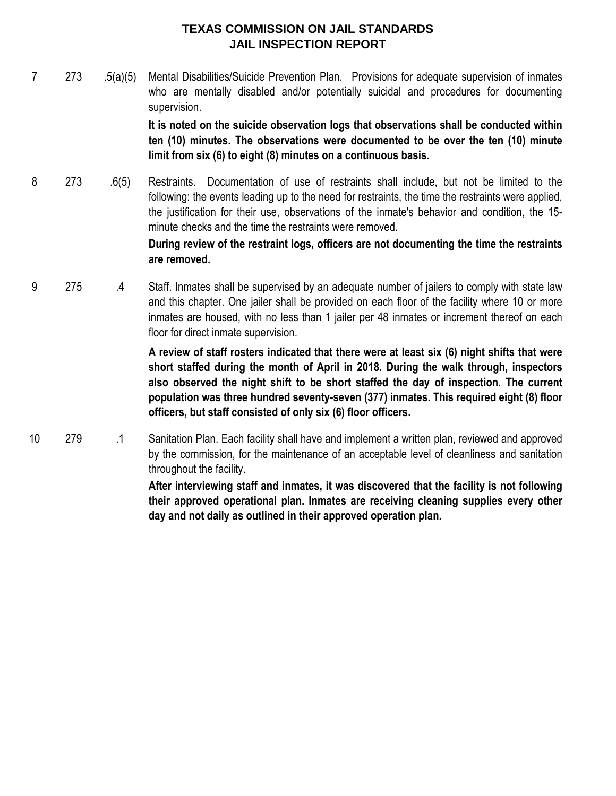7 273 .5(a)(5) Mental Disabilities/Suicide Prevention Plan. Provisions for adequate supervision of inmates who are mentally disabled and/or potentially suicidal and procedures for documenting supervision.

> **It is noted on the suicide observation logs that observations shall be conducted within ten (10) minutes. The observations were documented to be over the ten (10) minute limit from six (6) to eight (8) minutes on a continuous basis.**

8 273 .6(5) Restraints. Documentation of use of restraints shall include, but not be limited to the following: the events leading up to the need for restraints, the time the restraints were applied, the justification for their use, observations of the inmate's behavior and condition, the 15 minute checks and the time the restraints were removed.

# **During review of the restraint logs, officers are not documenting the time the restraints are removed.**

9 275 .4 Staff. Inmates shall be supervised by an adequate number of jailers to comply with state law and this chapter. One jailer shall be provided on each floor of the facility where 10 or more inmates are housed, with no less than 1 jailer per 48 inmates or increment thereof on each floor for direct inmate supervision.

> **A review of staff rosters indicated that there were at least six (6) night shifts that were short staffed during the month of April in 2018. During the walk through, inspectors also observed the night shift to be short staffed the day of inspection. The current population was three hundred seventy-seven (377) inmates. This required eight (8) floor officers, but staff consisted of only six (6) floor officers.**

10 279 .1 Sanitation Plan. Each facility shall have and implement a written plan, reviewed and approved by the commission, for the maintenance of an acceptable level of cleanliness and sanitation throughout the facility.

> **After interviewing staff and inmates, it was discovered that the facility is not following their approved operational plan. Inmates are receiving cleaning supplies every other day and not daily as outlined in their approved operation plan.**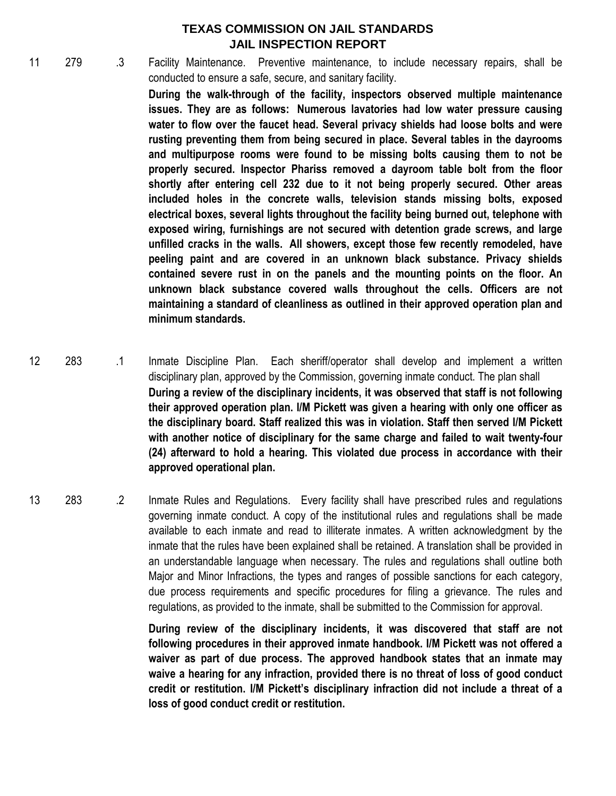11 279 .3 Facility Maintenance. Preventive maintenance, to include necessary repairs, shall be conducted to ensure a safe, secure, and sanitary facility.

> **During the walk-through of the facility, inspectors observed multiple maintenance issues. They are as follows: Numerous lavatories had low water pressure causing water to flow over the faucet head. Several privacy shields had loose bolts and were rusting preventing them from being secured in place. Several tables in the dayrooms and multipurpose rooms were found to be missing bolts causing them to not be properly secured. Inspector Phariss removed a dayroom table bolt from the floor shortly after entering cell 232 due to it not being properly secured. Other areas included holes in the concrete walls, television stands missing bolts, exposed electrical boxes, several lights throughout the facility being burned out, telephone with exposed wiring, furnishings are not secured with detention grade screws, and large unfilled cracks in the walls. All showers, except those few recently remodeled, have peeling paint and are covered in an unknown black substance. Privacy shields contained severe rust in on the panels and the mounting points on the floor. An unknown black substance covered walls throughout the cells. Officers are not maintaining a standard of cleanliness as outlined in their approved operation plan and minimum standards.**

- 12 283 .1 Inmate Discipline Plan. Each sheriff/operator shall develop and implement a written disciplinary plan, approved by the Commission, governing inmate conduct. The plan shall **During a review of the disciplinary incidents, it was observed that staff is not following their approved operation plan. I/M Pickett was given a hearing with only one officer as the disciplinary board. Staff realized this was in violation. Staff then served I/M Pickett with another notice of disciplinary for the same charge and failed to wait twenty-four (24) afterward to hold a hearing. This violated due process in accordance with their approved operational plan.**
- 13 283 .2 Inmate Rules and Regulations. Every facility shall have prescribed rules and regulations governing inmate conduct. A copy of the institutional rules and regulations shall be made available to each inmate and read to illiterate inmates. A written acknowledgment by the inmate that the rules have been explained shall be retained. A translation shall be provided in an understandable language when necessary. The rules and regulations shall outline both Major and Minor Infractions, the types and ranges of possible sanctions for each category, due process requirements and specific procedures for filing a grievance. The rules and regulations, as provided to the inmate, shall be submitted to the Commission for approval.

**During review of the disciplinary incidents, it was discovered that staff are not following procedures in their approved inmate handbook. I/M Pickett was not offered a waiver as part of due process. The approved handbook states that an inmate may waive a hearing for any infraction, provided there is no threat of loss of good conduct credit or restitution. I/M Pickett's disciplinary infraction did not include a threat of a loss of good conduct credit or restitution.**